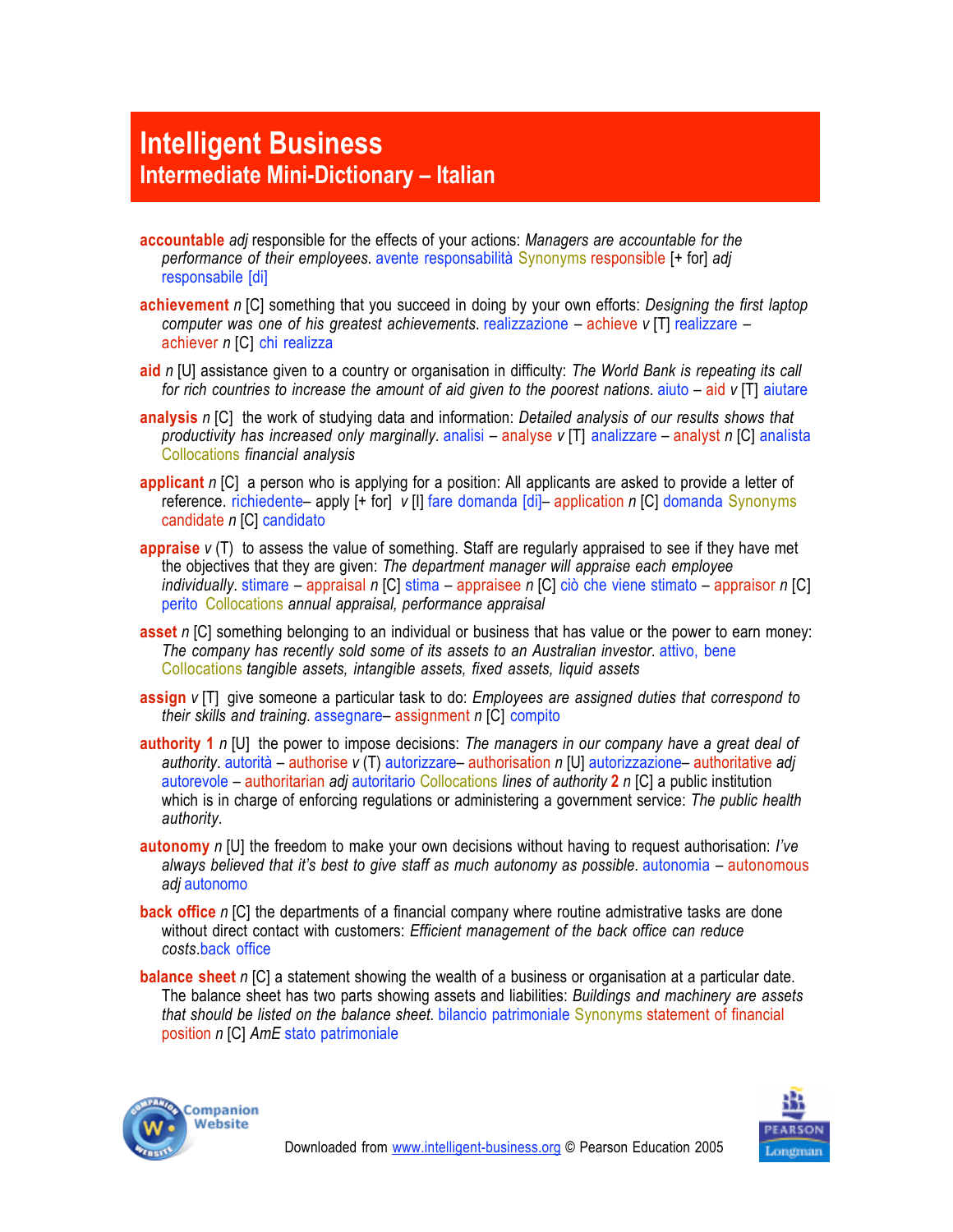## **Intelligent Business Intermediate Mini-Dictionary – Italian**

- **accountable** *adj* responsible for the effects of your actions: *Managers are accountable for the performance of their employees*. avente responsabilità Synonyms responsible [+ for] *adj* responsabile [di]
- **achievement** *n* [C] something that you succeed in doing by your own efforts: *Designing the first laptop computer was one of his greatest achievements*. realizzazione – achieve *v* [T] realizzare – achiever *n* [C] chi realizza
- **aid** *n* [U] assistance given to a country or organisation in difficulty: *The World Bank is repeating its call for rich countries to increase the amount of aid given to the poorest nations*. aiuto – aid *v* [T] aiutare
- **analysis** *n* [C] the work of studying data and information: *Detailed analysis of our results shows that productivity has increased only marginally*. analisi – analyse *v* [T] analizzare – analyst *n* [C] analista Collocations *financial analysis*
- **applicant** *n* [C] a person who is applying for a position: All applicants are asked to provide a letter of reference. richiedente– apply [+ for] *v* [I] fare domanda [di]– application *n* [C] domanda Synonyms candidate *n* [C] candidato
- **appraise** *v* (T) to assess the value of something. Staff are regularly appraised to see if they have met the objectives that they are given: *The department manager will appraise each employee individually*. stimare – appraisal *n* [C] stima – appraisee *n* [C] ciò che viene stimato – appraisor *n* [C] perito Collocations *annual appraisal, performance appraisal*
- **asset** *n* [C] something belonging to an individual or business that has value or the power to earn money: *The company has recently sold some of its assets to an Australian investor*. attivo, bene Collocations *tangible assets, intangible assets, fixed assets, liquid assets*
- **assign** *v* [T] give someone a particular task to do: *Employees are assigned duties that correspond to their skills and training*. assegnare– assignment *n* [C] compito
- **authority 1** *n* [U] the power to impose decisions: *The managers in our company have a great deal of authority*. autorità – authorise *v* (T) autorizzare– authorisation *n* [U] autorizzazione– authoritative *adj* autorevole –!authoritarian *adj* autoritario Collocations *lines of authority* **2** *n* [C] a public institution which is in charge of enforcing regulations or administering a government service: *The public health authority*.
- **autonomy** *n* [U] the freedom to make your own decisions without having to request authorisation: *I've always believed that it's best to give staff as much autonomy as possible*. autonomia – autonomous *adj* autonomo
- **back office** *n* [C] the departments of a financial company where routine admistrative tasks are done without direct contact with customers: *Efficient management of the back office can reduce costs*.back office
- **balance sheet** *n* [C] a statement showing the wealth of a business or organisation at a particular date. The balance sheet has two parts showing assets and liabilities: *Buildings and machinery are assets that should be listed on the balance sheet.* bilancio patrimoniale Synonyms statement of financial position *n* [C] *AmE* stato patrimoniale



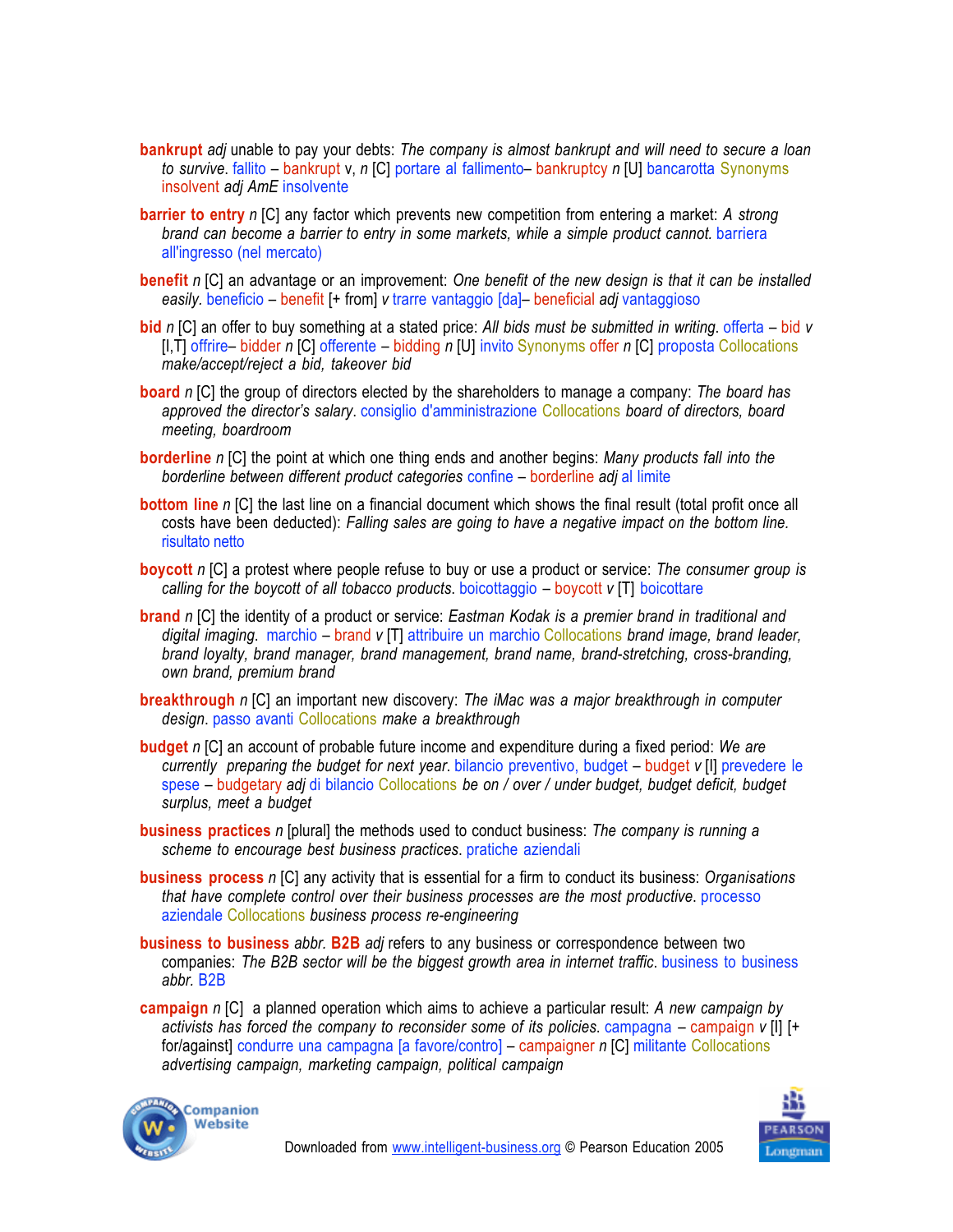- **bankrupt** *adj* unable to pay your debts: *The company is almost bankrupt and will need to secure a loan to survive*. fallito – bankrupt v, *n* [C] portare al fallimento– bankruptcy *n* [U] bancarotta Synonyms insolvent *adj AmE* insolvente
- **barrier to entry** *n* [C] any factor which prevents new competition from entering a market: *A strong brand can become a barrier to entry in some markets, while a simple product cannot.* barriera all'ingresso (nel mercato)
- **benefit** *n* [C] an advantage or an improvement: *One benefit of the new design is that it can be installed easily.* beneficio – benefit [+ from] *v* trarre vantaggio [da]– beneficial *adj* vantaggioso
- **bid** *n* [C] an offer to buy something at a stated price: *All bids must be submitted in writing*. offerta bid *v* [I,T] offrire– bidder *n* [C] offerente – bidding *n* [U] invito Synonyms offer *n* [C] proposta Collocations *make/accept/reject a bid, takeover bid*
- **board** *n* [C] the group of directors elected by the shareholders to manage a company: *The board has approved the director's salary*. consiglio d'amministrazione Collocations *board of directors, board meeting, boardroom*
- **borderline** *n* [C] the point at which one thing ends and another begins: *Many products fall into the borderline between different product categories* confine – borderline *adj* al limite
- **bottom line** *n* [C] the last line on a financial document which shows the final result (total profit once all costs have been deducted): *Falling sales are going to have a negative impact on the bottom line.* risultato netto
- **boycott** *n* [C] a protest where people refuse to buy or use a product or service: *The consumer group is calling for the boycott of all tobacco products*. boicottaggio – boycott *v* [T] boicottare
- **brand** *n* [C] the identity of a product or service: *Eastman Kodak is a premier brand in traditional and digital imaging*. marchio – brand *v* [T] attribuire un marchio Collocations *brand image, brand leader, brand loyalty, brand manager, brand management, brand name, brand-stretching, cross-branding, own brand, premium brand*
- **breakthrough** *n* [C] an important new discovery: *The iMac was a major breakthrough in computer design*. passo avanti Collocations *make a breakthrough*
- **budget** *n* [C] an account of probable future income and expenditure during a fixed period: *We are currently preparing the budget for next year*. bilancio preventivo, budget – budget *v* [I] prevedere le spese – budgetary *adj* di bilancio Collocations *be on / over / under budget, budget deficit, budget surplus, meet a budget*
- **business practices** *n* [plural] the methods used to conduct business: *The company is running a scheme to encourage best business practices*. pratiche aziendali
- **business process** *n* [C] any activity that is essential for a firm to conduct its business: *Organisations that have complete control over their business processes are the most productive*. processo aziendale Collocations *business process re-engineering*
- **business to business** *abbr.* **B2B** *adj* refers to any business or correspondence between two companies: *The B2B sector will be the biggest growth area in internet traffic*. business to business *abbr.* B2B
- **campaign** *n* [C] a planned operation which aims to achieve a particular result: *A new campaign by activists has forced the company to reconsider some of its policies*. campagna – campaign *v* [I] [+ for/against] condurre una campagna [a favore/contro] – campaigner *n* [C] militante Collocations *advertising campaign, marketing campaign, political campaign*



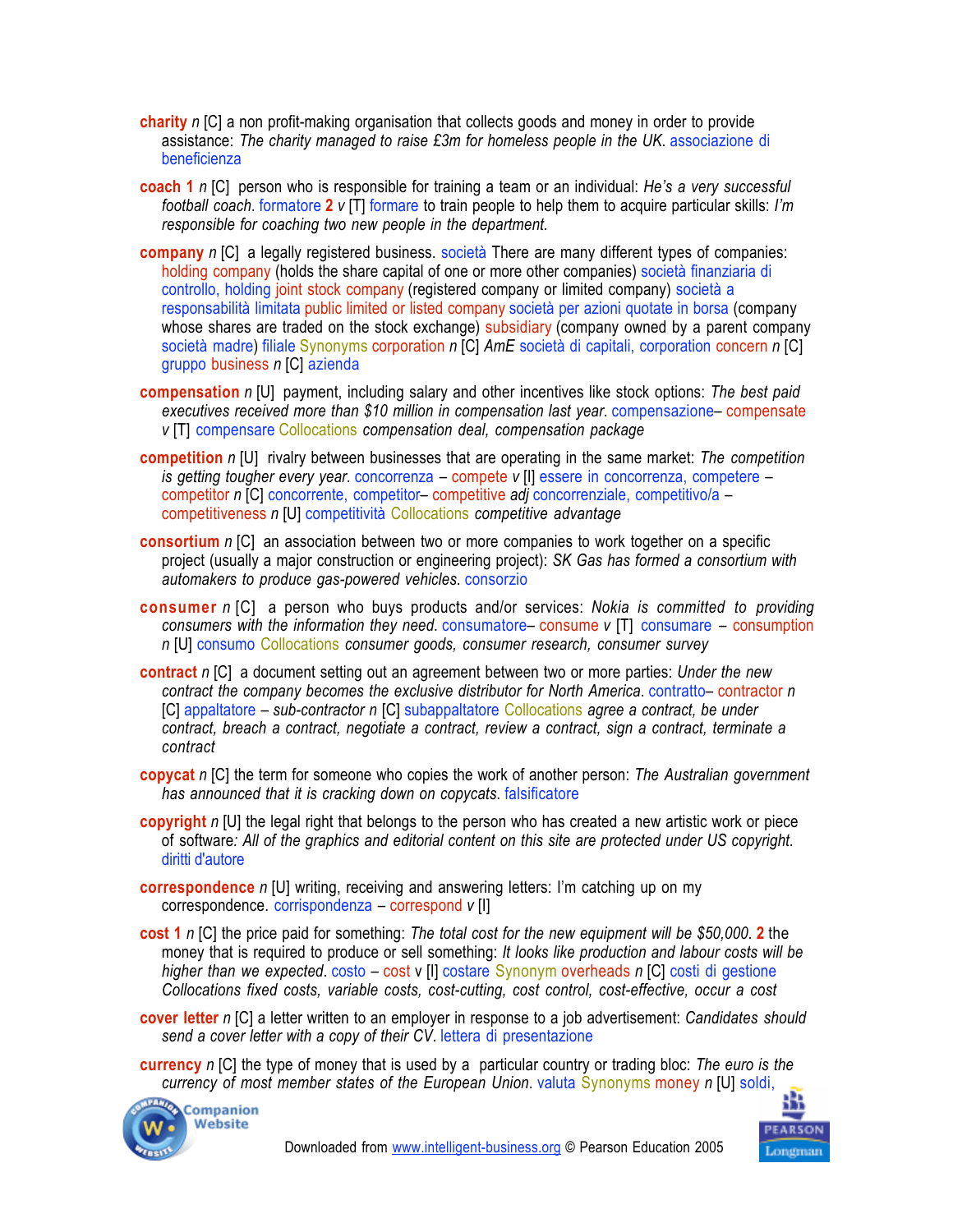- **charity** *n* [C] a non profit-making organisation that collects goods and money in order to provide assistance: *The charity managed to raise £3m for homeless people in the UK*. associazione di beneficienza
- **coach 1** *n* [C] person who is responsible for training a team or an individual: *He's a very successful football coach*. formatore **2** *v* [T] formare to train people to help them to acquire particular skills: *I'm responsible for coaching two new people in the department.*
- **company** *n* [C] a legally registered business. società There are many different types of companies: holding company (holds the share capital of one or more other companies) società finanziaria di controllo, holding joint stock company (registered company or limited company) società a responsabilità limitata public limited or listed company società per azioni quotate in borsa (company whose shares are traded on the stock exchange) subsidiary (company owned by a parent company società madre) filiale Synonyms corporation *n* [C] *AmE* società di capitali, corporation concern *n* [C] gruppo business *n* [C] azienda
- **compensation** *n* [U] payment, including salary and other incentives like stock options: *The best paid executives received more than \$10 million in compensation last year*. compensazione– compensate *v* [T] compensare Collocations *compensation deal, compensation package*
- **competition** *n* [U] rivalry between businesses that are operating in the same market: *The competition is getting tougher every year*. concorrenza – compete *v* [I] essere in concorrenza, competere – competitor *n* [C] concorrente, competitor– competitive *adj* concorrenziale, competitivo/a – competitiveness *n* [U] competitività Collocations *competitive advantage*
- **consortium** *n* ICI an association between two or more companies to work together on a specific project (usually a major construction or engineering project): *SK Gas has formed a consortium with automakers to produce gas-powered vehicles*. consorzio
- **consumer** *n* [C] a person who buys products and/or services: *Nokia is committed to providing consumers with the information they need*. consumatore– consume *v* [T] consumare – consumption *n* [U] consumo Collocations *consumer goods, consumer research, consumer survey*
- **contract** *n* [C] a document setting out an agreement between two or more parties: *Under the new contract the company becomes the exclusive distributor for North America*. contratto–!contractor *n* [C] appaltatore – *sub-contractor n* [C] subappaltatore Collocations *agree a contract, be under contract, breach a contract, negotiate a contract, review a contract, sign a contract, terminate a contract*
- **copycat** *n* [C] the term for someone who copies the work of another person: *The Australian government has announced that it is cracking down on copycats*. falsificatore
- **copyright** *n* [U] the legal right that belongs to the person who has created a new artistic work or piece of software*: All of the graphics and editorial content on this site are protected under US copyright*. diritti d'autore
- **correspondence** *n* [U] writing, receiving and answering letters: I'm catching up on my correspondence. corrispondenza – correspond *v* [I]
- **cost 1** *n* [C] the price paid for something: *The total cost for the new equipment will be \$50,000*. **2** the money that is required to produce or sell something: *It looks like production and labour costs will be higher than we expected*. costo – cost v [I] costare Synonym overheads *n* [C] costi di gestione *Collocations fixed costs, variable costs, cost-cutting, cost control, cost-effective, occur a cost*
- **cover letter** *n* [C] a letter written to an employer in response to a job advertisement: *Candidates should send a cover letter with a copy of their CV*. lettera di presentazione
- **currency** *n* [C] the type of money that is used by a particular country or trading bloc: *The euro is the currency of most member states of the European Union*. valuta Synonyms money *n* [U] soldi,



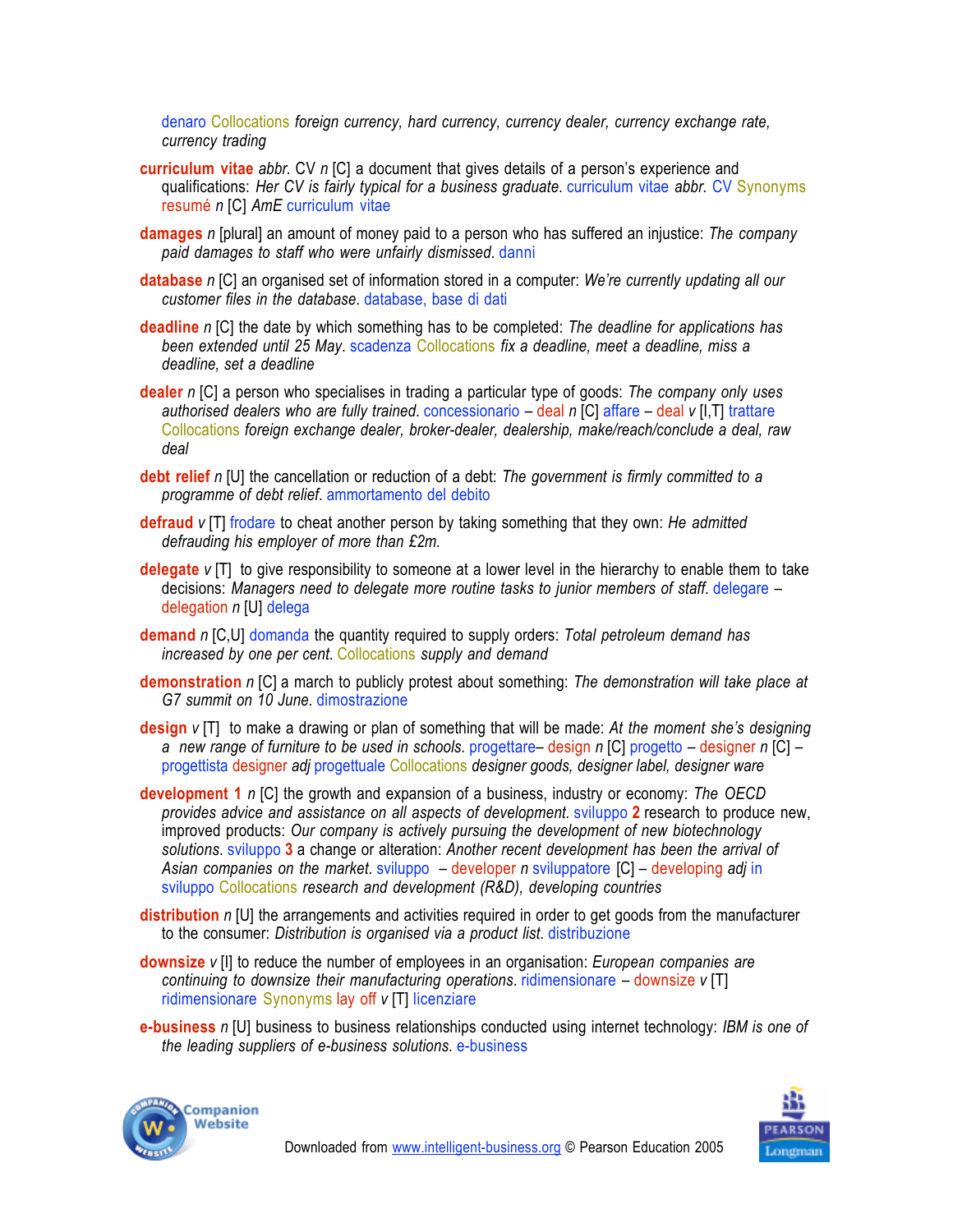denaro Collocations *foreign currency, hard currency, currency dealer, currency exchange rate, currency trading*

- **curriculum vitae** *abbr.* CV *n* [C] a document that gives details of a person's experience and qualifications: *Her CV is fairly typical for a business graduate*. curriculum vitae *abbr.* CV Synonyms resumé *n* [C] *AmE* curriculum vitae
- **damages** *n* [plural] an amount of money paid to a person who has suffered an injustice: *The company paid damages to staff who were unfairly dismissed*. danni
- **database** *n* [C] an organised set of information stored in a computer: *We're currently updating all our customer files in the database*. database, base di dati
- **deadline** *n* [C] the date by which something has to be completed: *The deadline for applications has been extended until 25 May*. scadenza Collocations *fix a deadline, meet a deadline, miss a deadline, set a deadline*
- **dealer** *n* [C] a person who specialises in trading a particular type of goods: *The company only uses authorised dealers who are fully trained*. concessionario – deal *n* [C] affare – deal *v* [I,T] trattare Collocations *foreign exchange dealer, broker-dealer, dealership, make/reach/conclude a deal, raw deal*
- **debt relief** *n* [U] the cancellation or reduction of a debt: *The government is firmly committed to a programme of debt relief*. ammortamento del debito
- **defraud** *v* [T] frodare to cheat another person by taking something that they own: *He admitted defrauding his employer of more than £2m.*
- **delegate** *v* [T] to give responsibility to someone at a lower level in the hierarchy to enable them to take decisions: *Managers need to delegate more routine tasks to junior members of staff*. delegare – delegation *n* [U] delega
- **demand** *n* [C,U] domanda the quantity required to supply orders: *Total petroleum demand has increased by one per cent*. Collocations *supply and demand*
- **demonstration** *n* [C] a march to publicly protest about something: *The demonstration will take place at G7 summit on 10 June*. dimostrazione
- **design** *v* [T] to make a drawing or plan of something that will be made: *At the moment she's designing a new range of furniture to be used in schools*. progettare– design *n* [C] progetto – designer *n* [C] – progettista designer *adj* progettuale Collocations *designer goods, designer label, designer ware*
- **development 1** *n* [C] the growth and expansion of a business, industry or economy: *The OECD provides advice and assistance on all aspects of development.* sviluppo **2** research to produce new, improved products: *Our company is actively pursuing the development of new biotechnology solutions*. sviluppo **3** a change or alteration: *Another recent development has been the arrival of Asian companies on the market*. sviluppo – developer *n* sviluppatore [C] – developing *adj* in sviluppo Collocations *research and development (R&D), developing countries*
- **distribution** *n* [U] the arrangements and activities required in order to get goods from the manufacturer to the consumer: *Distribution is organised via a product list*. distribuzione
- **downsize** *v* [I] to reduce the number of employees in an organisation: *European companies are continuing to downsize their manufacturing operations*. ridimensionare – downsize *v* [T] ridimensionare Synonyms lay off *v* [T] licenziare
- **e-business** *n* [U] business to business relationships conducted using internet technology: *IBM is one of the leading suppliers of e-business solutions*. e-business



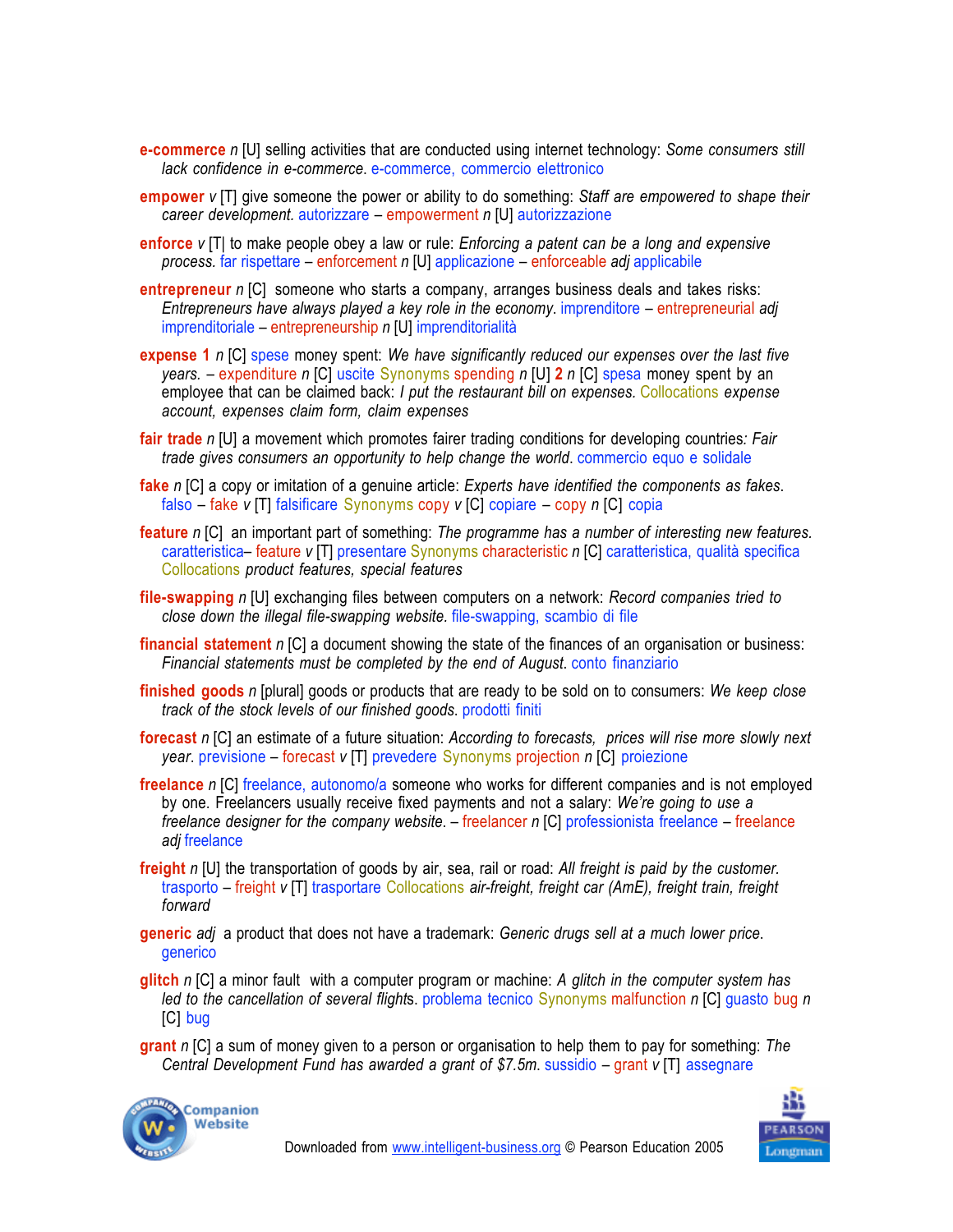- **e-commerce** *n* [U] selling activities that are conducted using internet technology: *Some consumers still lack confidence in e-commerce*. e-commerce, commercio elettronico
- **empower** *v* [T] give someone the power or ability to do something: *Staff are empowered to shape their career development.* autorizzare – empowerment *n* [U] autorizzazione
- **enforce** *v* [T| to make people obey a law or rule: *Enforcing a patent can be a long and expensive process.* far rispettare – enforcement *n* [U] applicazione – enforceable *adj* applicabile
- **entrepreneur** *n* [C] someone who starts a company, arranges business deals and takes risks: *Entrepreneurs have always played a key role in the economy*. imprenditore – entrepreneurial *adj* imprenditoriale – entrepreneurship *n* [U] imprenditorialità
- **expense 1** *n* [C] spese money spent: *We have significantly reduced our expenses over the last five years.* – expenditure *n* [C] uscite Synonyms spending *n* [U] **2** *n* [C] spesa money spent by an employee that can be claimed back: *I put the restaurant bill on expenses.* Collocations *expense account, expenses claim form, claim expenses*
- **fair trade** *n* [U] a movement which promotes fairer trading conditions for developing countries*: Fair trade gives consumers an opportunity to help change the world*. commercio equo e solidale
- **fake** *n* [C] a copy or imitation of a genuine article: *Experts have identified the components as fakes*. falso – fake *v* [T] falsificare Synonyms copy *v* [C] copiare – copy *n* [C] copia
- **feature** *n* [C] an important part of something: *The programme has a number of interesting new features.* caratteristica– feature *v* [T] presentare Synonyms characteristic *n* [C] caratteristica, qualità specifica Collocations *product features, special features*
- **file-swapping** *n* [U] exchanging files between computers on a network: *Record companies tried to close down the illegal file-swapping website.* file-swapping, scambio di file
- **financial statement** *n* [C] a document showing the state of the finances of an organisation or business: *Financial statements must be completed by the end of August*. conto finanziario
- **finished goods** *n* [plural] goods or products that are ready to be sold on to consumers: *We keep close track of the stock levels of our finished goods*. prodotti finiti
- **forecast** *n* [C] an estimate of a future situation: *According to forecasts, prices will rise more slowly next year*. previsione – forecast *v* [T] prevedere Synonyms projection *n* [C] proiezione
- **freelance** *n* [C] freelance, autonomo/a someone who works for different companies and is not employed by one. Freelancers usually receive fixed payments and not a salary: *We're going to use a freelance designer for the company website*. – freelancer *n* [C] professionista freelance – freelance *adj* freelance
- **freight** *n* [U] the transportation of goods by air, sea, rail or road: *All freight is paid by the customer.* trasporto – freight *v* [T] trasportare Collocations *air-freight, freight car (AmE), freight train, freight forward*
- **generic** *adj* a product that does not have a trademark: *Generic drugs sell at a much lower price*. **generico**
- **glitch** *n* [C] a minor fault with a computer program or machine: *A glitch in the computer system has led to the cancellation of several flight*s. problema tecnico Synonyms malfunction *n* [C] guasto bug *n* [C] bug
- **grant** *n* [C] a sum of money given to a person or organisation to help them to pay for something: *The Central Development Fund has awarded a grant of \$7.5m*. sussidio – grant *v* [T] assegnare



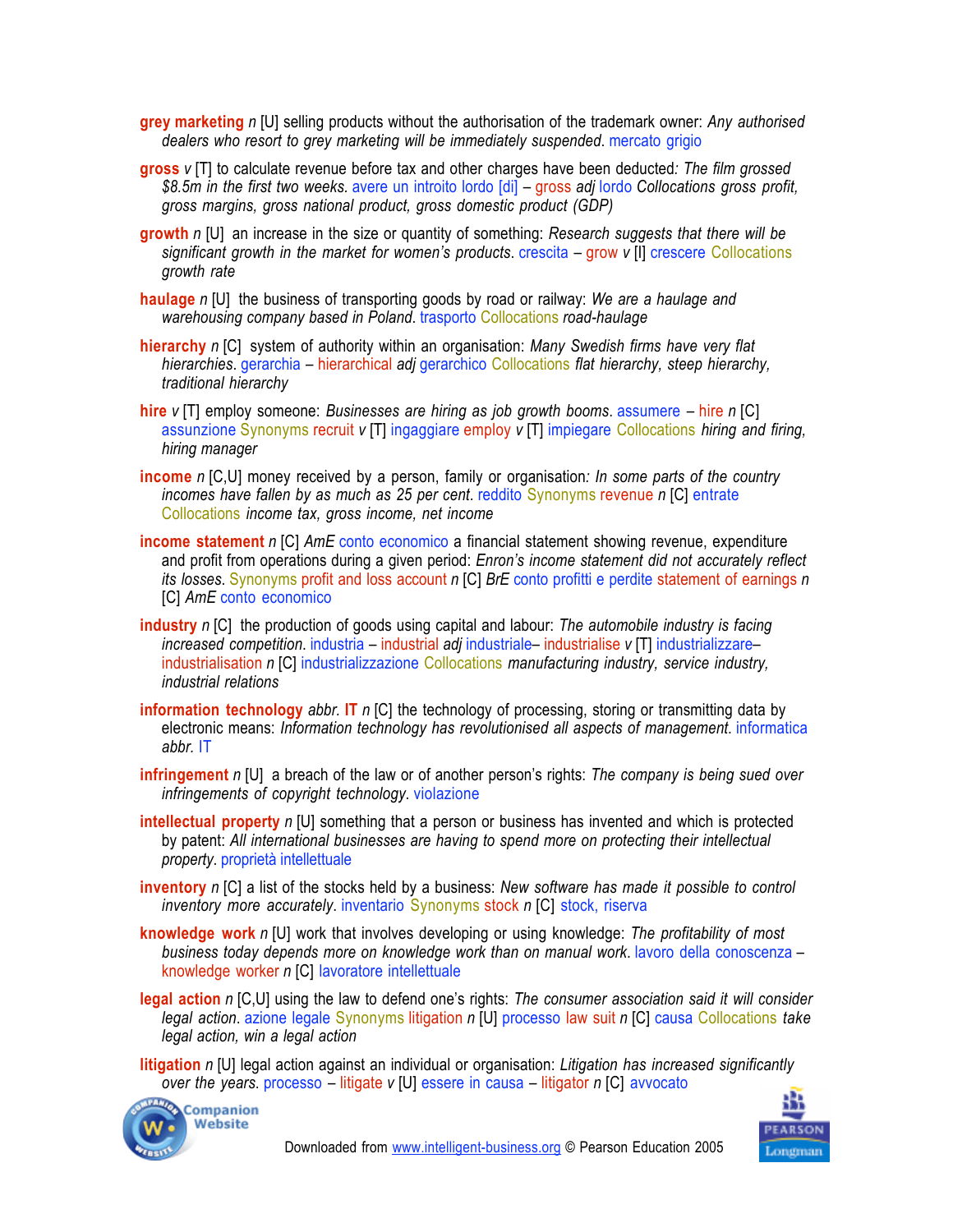- **grey marketing** *n* [U] selling products without the authorisation of the trademark owner: *Any authorised dealers who resort to grey marketing will be immediately suspended*. mercato grigio
- **gross** *v* [T] to calculate revenue before tax and other charges have been deducted*: The film grossed \$8.5m in the first two weeks.* avere un introito lordo [di] – gross *adj* lordo *Collocations gross profit, gross margins, gross national product, gross domestic product (GDP)*
- **growth** *n* [U] an increase in the size or quantity of something: *Research suggests that there will be significant growth in the market for women's products*. crescita – grow *v* [I] crescere Collocations *growth rate*
- **haulage** *n* [U] the business of transporting goods by road or railway: *We are a haulage and warehousing company based in Poland*. trasporto Collocations *road-haulage*
- **hierarchy** *n* [C] system of authority within an organisation: *Many Swedish firms have very flat hierarchies*. gerarchia – hierarchical *adj* gerarchico Collocations *flat hierarchy, steep hierarchy, traditional hierarchy*
- **hire** *v* [T] employ someone: *Businesses are hiring as job growth booms*. assumere hire *n* [C] assunzione Synonyms recruit *v* [T] ingaggiare employ *v* [T] impiegare Collocations *hiring and firing, hiring manager*
- **income** *n* [C,U] money received by a person, family or organisation*: In some parts of the country incomes have fallen by as much as 25 per cent*. reddito Synonyms revenue *n* [C] entrate Collocations *income tax, gross income, net income*
- **income statement** *n* [C] *AmE* conto economico a financial statement showing revenue, expenditure and profit from operations during a given period: *Enron's income statement did not accurately reflect its losses*. Synonyms profit and loss account *n* [C] *BrE* conto profitti e perdite statement of earnings *n* [C] *AmE* conto economico
- **industry** *n* [C] the production of goods using capital and labour: *The automobile industry is facing increased competition*. industria – industrial *adj* industriale– industrialise *v* [T] industrializzare– industrialisation *n* [C] industrializzazione Collocations *manufacturing industry, service industry, industrial relations*
- **information technology** *abbr.* **IT** *n* [C] the technology of processing, storing or transmitting data by electronic means: *Information technology has revolutionised all aspects of management*. informatica *abbr.* IT
- **infringement** *n* [U] a breach of the law or of another person's rights: *The company is being sued over infringements of copyright technology*. violazione
- **intellectual property** *n* [U] something that a person or business has invented and which is protected by patent: *All international businesses are having to spend more on protecting their intellectual property*. proprietà intellettuale
- **inventory** *n* [C] a list of the stocks held by a business: *New software has made it possible to control inventory more accurately*. inventario Synonyms stock *n* [C] stock, riserva
- **knowledge work** *n* [U] work that involves developing or using knowledge: *The profitability of most business today depends more on knowledge work than on manual work*. lavoro della conoscenza – knowledge worker *n* [C] lavoratore intellettuale
- **legal action** *n* [C,U] using the law to defend one's rights: *The consumer association said it will consider legal action*. azione legale Synonyms litigation *n* [U] processo law suit *n* [C] causa Collocations *take legal action, win a legal action*
- **litigation** *n* [U] legal action against an individual or organisation: *Litigation has increased significantly over the years*. processo – litigate *v* [U] essere in causa – litigator *n* [C] avvocato



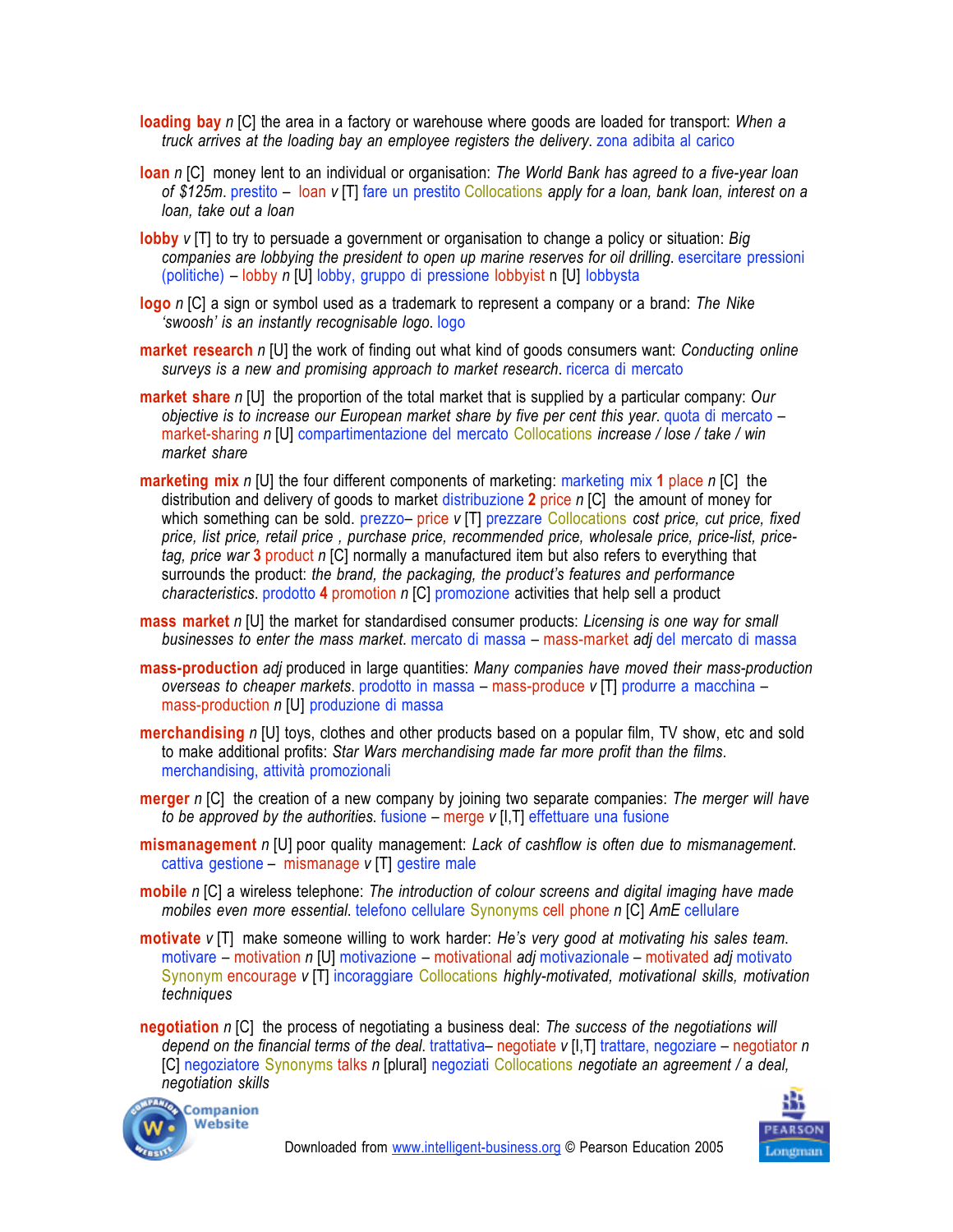**loading bay** *n* [C] the area in a factory or warehouse where goods are loaded for transport: *When a truck arrives at the loading bay an employee registers the delivery*. zona adibita al carico

- **loan** *n* [C] money lent to an individual or organisation: *The World Bank has agreed to a five-year loan of \$125m*. prestito – loan *v* [T] fare un prestito Collocations *apply for a loan, bank loan, interest on a loan, take out a loan*
- **lobby** *v* [T] to try to persuade a government or organisation to change a policy or situation: *Big companies are lobbying the president to open up marine reserves for oil drilling*. esercitare pressioni (politiche) – lobby *n* [U] lobby, gruppo di pressione lobbyist n [U] lobbysta
- **logo** *n* [C] a sign or symbol used as a trademark to represent a company or a brand: *The Nike 'swoosh' is an instantly recognisable logo*. logo
- **market research** *n* [U] the work of finding out what kind of goods consumers want: *Conducting online surveys is a new and promising approach to market research*. ricerca di mercato
- **market share** *n* [U] the proportion of the total market that is supplied by a particular company: *Our objective is to increase our European market share by five per cent this year*. quota di mercato – market-sharing *n* [U] compartimentazione del mercato Collocations *increase / lose / take / win market share*
- **marketing mix** *n* [U] the four different components of marketing: marketing mix **1** place *n* [C] the distribution and delivery of goods to market distribuzione **2** price *n* [C] the amount of money for which something can be sold. prezzo– price *v* [T] prezzare Collocations *cost price, cut price, fixed price, list price, retail price , purchase price, recommended price, wholesale price, price-list, pricetag, price war* **3** product *n* [C] normally a manufactured item but also refers to everything that surrounds the product: *the brand, the packaging, the product's features and performance characteristics*. prodotto **4** promotion *n* [C] promozione activities that help sell a product
- **mass market** *n* [U] the market for standardised consumer products: *Licensing is one way for small businesses to enter the mass market*. mercato di massa –!mass-market *adj* del mercato di massa
- **mass-production** *adj* produced in large quantities: *Many companies have moved their mass-production overseas to cheaper markets*. prodotto in massa – mass-produce *v* [T] produrre a macchina – mass-production *n* [U] produzione di massa
- **merchandising** *n* [U] toys, clothes and other products based on a popular film, TV show, etc and sold to make additional profits: *Star Wars merchandising made far more profit than the films*. merchandising, attività promozionali
- **merger** *n* [C] the creation of a new company by joining two separate companies: *The merger will have to be approved by the authorities*. fusione – merge *v* [I,T] effettuare una fusione
- **mismanagement** *n* [U] poor quality management: *Lack of cashflow is often due to mismanagement*. cattiva gestione – mismanage *v* [T] gestire male
- **mobile** *n* [C] a wireless telephone: *The introduction of colour screens and digital imaging have made mobiles even more essential*. telefono cellulare Synonyms cell phone *n* [C] *AmE* cellulare
- **motivate** *v* [T] make someone willing to work harder: *He's very good at motivating his sales team*. motivare – motivation *n* [U] motivazione – motivational *adj* motivazionale – motivated *adj* motivato Synonym encourage *v* [T] incoraggiare Collocations *highly-motivated, motivational skills, motivation techniques*
- **negotiation** *n* [C] the process of negotiating a business deal: *The success of the negotiations will depend on the financial terms of the deal*. trattativa– negotiate *v* [I,T] trattare, negoziare – negotiator *n* [C] negoziatore Synonyms talks *n* [plural] negoziati Collocations *negotiate an agreement / a deal, negotiation skills*



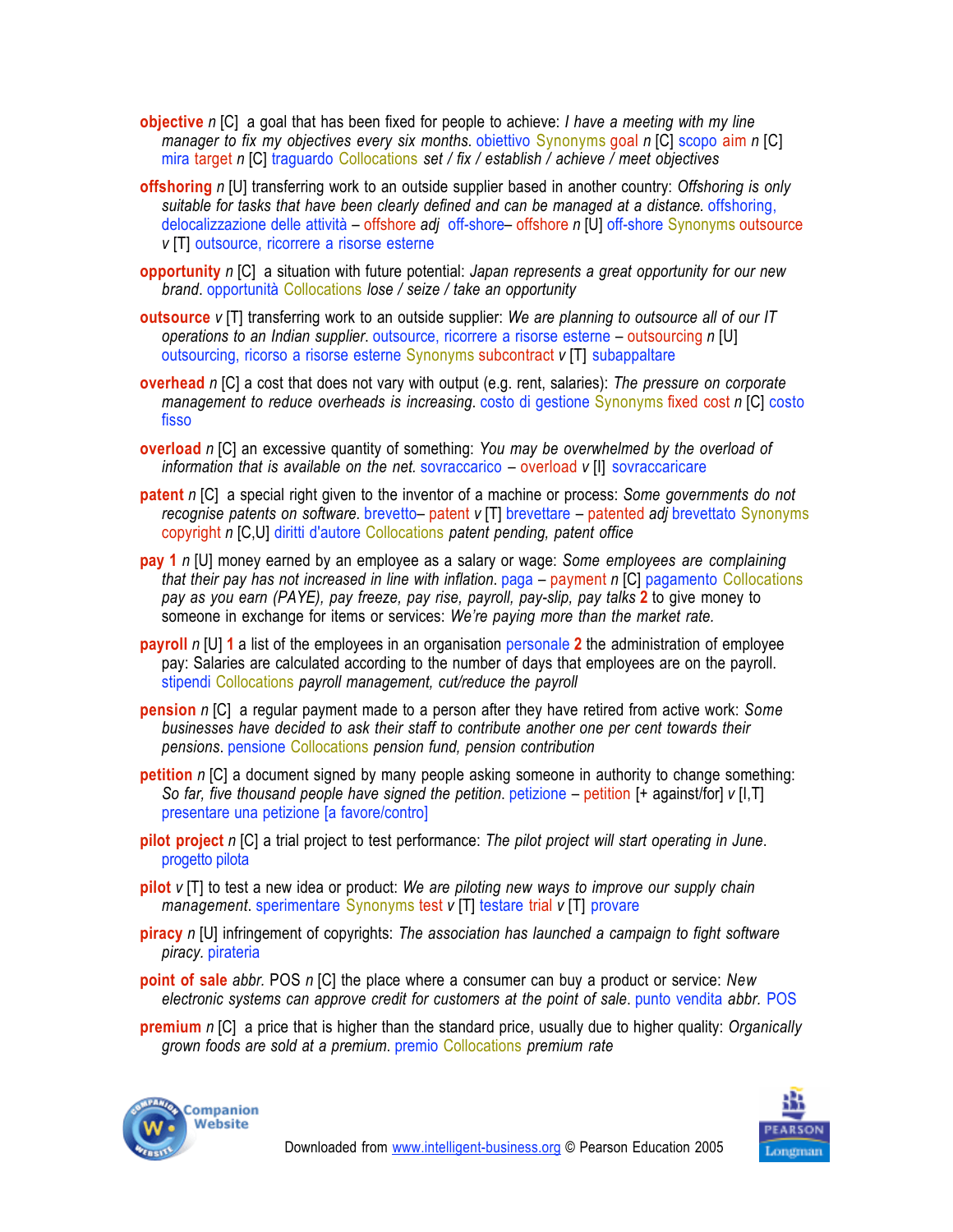- **objective** *n* [C] a goal that has been fixed for people to achieve: *I have a meeting with my line manager to fix my objectives every six months*. obiettivo Synonyms goal *n* [C] scopo aim *n* [C] mira target *n* [C] traguardo Collocations *set / fix / establish / achieve / meet objectives*
- **offshoring** *n* [U] transferring work to an outside supplier based in another country: *Offshoring is only suitable for tasks that have been clearly defined and can be managed at a distance.* offshoring, delocalizzazione delle attività – offshore *adj* off-shore– offshore *n* [U] off-shore Synonyms outsource *v* [T] outsource, ricorrere a risorse esterne
- **opportunity** *n* [C] a situation with future potential: *Japan represents a great opportunity for our new brand*. opportunità Collocations *lose / seize / take an opportunity*
- **outsource** *v* [T] transferring work to an outside supplier: *We are planning to outsource all of our IT operations to an Indian supplier*. outsource, ricorrere a risorse esterne – outsourcing *n* [U] outsourcing, ricorso a risorse esterne Synonyms subcontract *v* [T] subappaltare
- **overhead** *n* [C] a cost that does not vary with output (e.g. rent, salaries): *The pressure on corporate management to reduce overheads is increasing*. costo di gestione Synonyms fixed cost *n* [C] costo fisso
- **overload** *n* [C] an excessive quantity of something: *You may be overwhelmed by the overload of information that is available on the net.* sovraccarico – overload *v* [I] sovraccaricare
- **patent** *n* [C] a special right given to the inventor of a machine or process: *Some governments do not recognise patents on software.* brevetto– patent *v* [T] brevettare – patented *adj* brevettato Synonyms copyright *n* [C,U] diritti d'autore Collocations *patent pending, patent office*
- **pay 1** *n* [U] money earned by an employee as a salary or wage: *Some employees are complaining that their pay has not increased in line with inflation*. paga – payment *n* [C] pagamento Collocations *pay as you earn (PAYE), pay freeze, pay rise, payroll, pay-slip, pay talks* **2** to give money to someone in exchange for items or services: *We're paying more than the market rate.*
- **payroll** *n* [U] **1** a list of the employees in an organisation personale **2** the administration of employee pay: Salaries are calculated according to the number of days that employees are on the payroll. stipendi Collocations *payroll management, cut/reduce the payroll*
- **pension** *n* [C] a regular payment made to a person after they have retired from active work: *Some businesses have decided to ask their staff to contribute another one per cent towards their pensions*. pensione Collocations *pension fund, pension contribution*
- **petition** *n* [C] a document signed by many people asking someone in authority to change something: *So far, five thousand people have signed the petition*. petizione –!petition [+ against/for] *v* [I,T] presentare una petizione [a favore/contro]
- **pilot project** *n* [C] a trial project to test performance: *The pilot project will start operating in June*. progetto pilota
- **pilot** *v* [T] to test a new idea or product: *We are piloting new ways to improve our supply chain management*. sperimentare Synonyms test *v* [T] testare trial *v* [T] provare
- **piracy** *n* [U] infringement of copyrights: *The association has launched a campaign to fight software piracy.* pirateria
- **point of sale** *abbr.* POS *n* [C] the place where a consumer can buy a product or service: *New electronic systems can approve credit for customers at the point of sale*. punto vendita *abbr.* POS
- **premium** *n* [C] a price that is higher than the standard price, usually due to higher quality: *Organically grown foods are sold at a premium*. premio Collocations *premium rate*



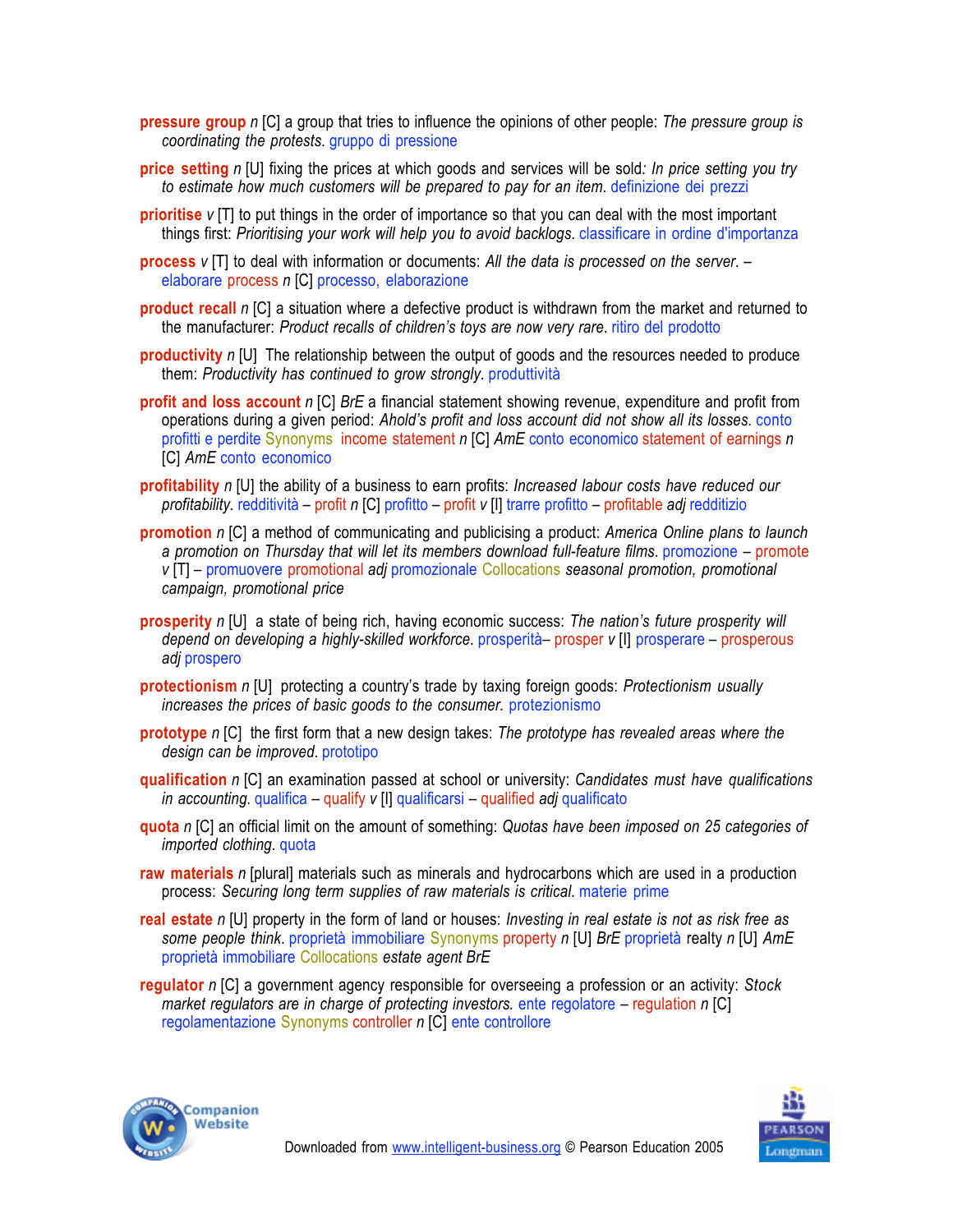- **pressure group** *n* [C] a group that tries to influence the opinions of other people: *The pressure group is coordinating the protests*. gruppo di pressione
- **price setting** *n* [U] fixing the prices at which goods and services will be sold*: In price setting you try to estimate how much customers will be prepared to pay for an item*. definizione dei prezzi
- **prioritise** *v* [T] to put things in the order of importance so that you can deal with the most important things first: *Prioritising your work will help you to avoid backlogs*. classificare in ordine d'importanza
- **process** *v* [T] to deal with information or documents: *All the data is processed on the server*. elaborare process *n* [C] processo, elaborazione
- **product recall** *n* [C] a situation where a defective product is withdrawn from the market and returned to the manufacturer: *Product recalls of children's toys are now very rare*. ritiro del prodotto
- **productivity** *n* [U] The relationship between the output of goods and the resources needed to produce them: *Productivity has continued to grow strongly*. produttività
- **profit and loss account** *n* [C] *BrE* a financial statement showing revenue, expenditure and profit from operations during a given period: *Ahold's profit and loss account did not show all its losses*. conto profitti e perdite Synonyms income statement *n* [C] *AmE* conto economico statement of earnings *n* [C] *AmE* conto economico
- **profitability** *n* [U] the ability of a business to earn profits: *Increased labour costs have reduced our profitability.* redditività – profit *n* [C] profitto – profit *v* [I] trarre profitto – profitable *adj* redditizio
- **promotion** *n* [C] a method of communicating and publicising a product: *America Online plans to launch a promotion on Thursday that will let its members download full-feature films*. promozione – promote *v* [T] – promuovere promotional *adj* promozionale Collocations *seasonal promotion, promotional campaign, promotional price*
- **prosperity** *n* [U] a state of being rich, having economic success: *The nation's future prosperity will depend on developing a highly-skilled workforce*. prosperità– prosper *v* [I] prosperare – prosperous *adj* prospero
- **protectionism** *n* [U] protecting a country's trade by taxing foreign goods: *Protectionism usually increases the prices of basic goods to the consumer.* protezionismo
- **prototype** *n* [C] the first form that a new design takes: *The prototype has revealed areas where the design can be improved*. prototipo
- **qualification** *n* [C] an examination passed at school or university: *Candidates must have qualifications in accounting*. qualifica – qualify *v* [I] qualificarsi – qualified *adj* qualificato
- **quota** *n* [C] an official limit on the amount of something: *Quotas have been imposed on 25 categories of imported clothing*. quota
- **raw materials** *n* [plural] materials such as minerals and hydrocarbons which are used in a production process: *Securing long term supplies of raw materials is critical*. materie prime
- **real estate** *n* [U] property in the form of land or houses: *Investing in real estate is not as risk free as some people think*. proprietà immobiliare Synonyms property *n* [U] *BrE* proprietà realty *n* [U] *AmE* proprietà immobiliare Collocations *estate agent BrE*
- **regulator** *n* [C] a government agency responsible for overseeing a profession or an activity: *Stock market regulators are in charge of protecting investors.* ente regolatore – regulation *n* [C] regolamentazione Synonyms controller *n* [C] ente controllore



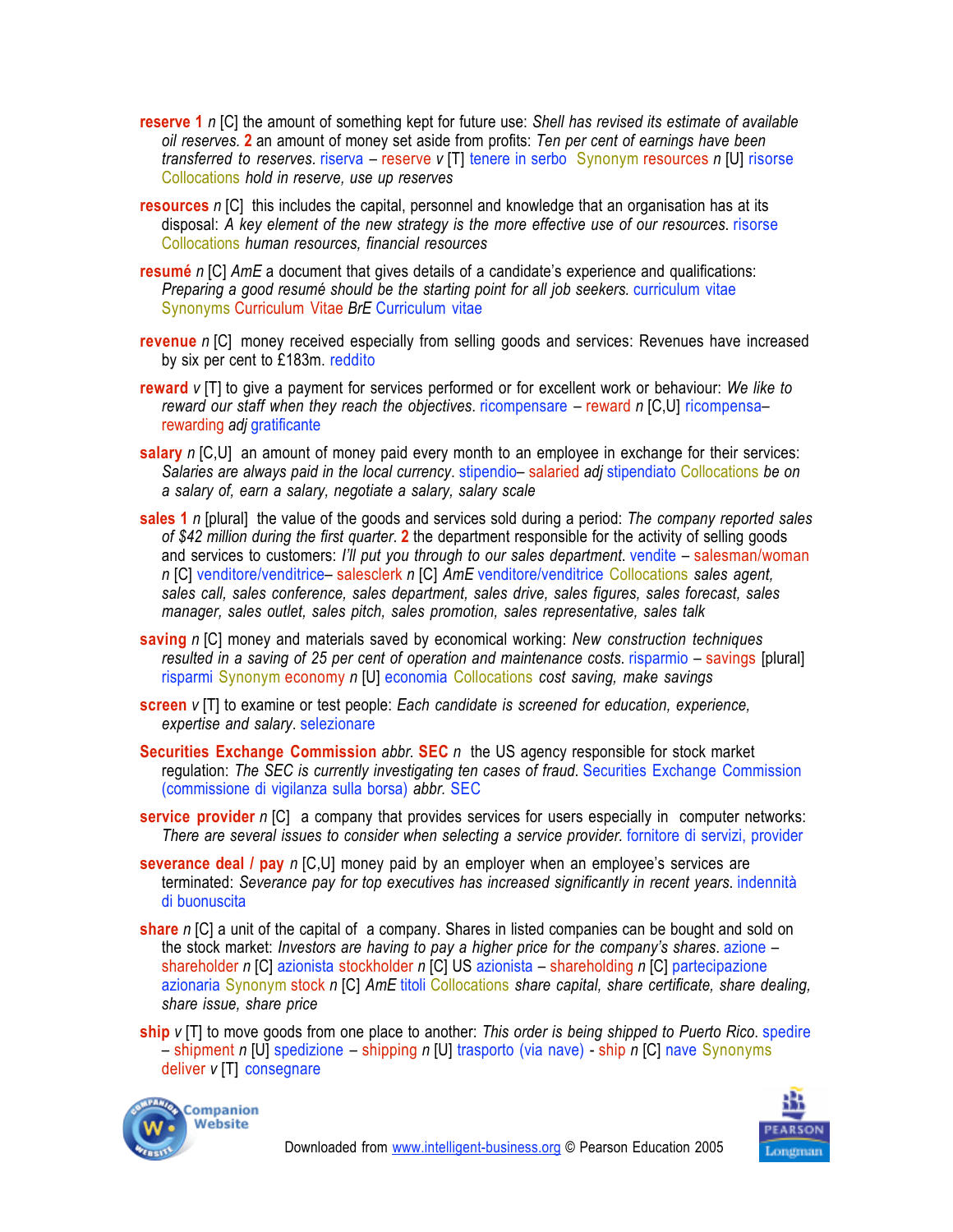- **reserve 1** *n* [C] the amount of something kept for future use: *Shell has revised its estimate of available oil reserves.* **2** an amount of money set aside from profits: *Ten per cent of earnings have been transferred to reserves.* riserva – reserve *v* [T] tenere in serbo Synonym resources *n* [U] risorse Collocations *hold in reserve, use up reserves*
- **resources** *n* [C] this includes the capital, personnel and knowledge that an organisation has at its disposal: *A key element of the new strategy is the more effective use of our resources*. risorse Collocations *human resources, financial resources*
- **resumé** *n* [C] *AmE* a document that gives details of a candidate's experience and qualifications: *Preparing a good resumé should be the starting point for all job seekers.* curriculum vitae Synonyms Curriculum Vitae *BrE* Curriculum vitae
- **revenue** *n* [C] money received especially from selling goods and services: Revenues have increased by six per cent to £183m. reddito
- **reward** *v* [T] to give a payment for services performed or for excellent work or behaviour: *We like to reward our staff when they reach the objectives*. ricompensare – reward *n* [C,U] ricompensa– rewarding *adj* gratificante
- **salary** *n* [C,U] an amount of money paid every month to an employee in exchange for their services: *Salaries are always paid in the local currency*. stipendio– salaried *adj* stipendiato Collocations *be on a salary of, earn a salary, negotiate a salary, salary scale*
- **sales 1** *n* [plural] the value of the goods and services sold during a period: *The company reported sales of \$42 million during the first quarter*. **2** the department responsible for the activity of selling goods and services to customers: *I'll put you through to our sales department*. vendite – salesman/woman *n* [C] venditore/venditrice– salesclerk *n* [C] *AmE* venditore/venditrice Collocations *sales agent, sales call, sales conference, sales department, sales drive, sales figures, sales forecast, sales manager, sales outlet, sales pitch, sales promotion, sales representative, sales talk*
- **saving** *n* [C] money and materials saved by economical working: *New construction techniques resulted in a saving of 25 per cent of operation and maintenance costs*. risparmio – savings [plural] risparmi Synonym economy *n* [U] economia Collocations *cost saving, make savings*
- **screen** *v* [T] to examine or test people: *Each candidate is screened for education, experience, expertise and salary*. selezionare
- **Securities Exchange Commission** *abbr.* **SEC** *n* the US agency responsible for stock market regulation: *The SEC is currently investigating ten cases of fraud*. Securities Exchange Commission (commissione di vigilanza sulla borsa) *abbr.* SEC
- **service provider** *n* [C] a company that provides services for users especially in computer networks: *There are several issues to consider when selecting a service provider.* fornitore di servizi, provider
- **severance deal / pay** *n* [C,U] money paid by an employer when an employee's services are terminated: *Severance pay for top executives has increased significantly in recent years*. indennità di buonuscita
- **share** *n* [C] a unit of the capital of a company. Shares in listed companies can be bought and sold on the stock market: *Investors are having to pay a higher price for the company's shares*. azione – shareholder *n* [C] azionista stockholder *n* [C] US azionista – shareholding *n* [C] partecipazione azionaria Synonym stock *n* [C] *AmE* titoli Collocations *share capital, share certificate, share dealing, share issue, share price*
- **ship** *v* [T] to move goods from one place to another: *This order is being shipped to Puerto Rico*. spedire – shipment *n* [U] spedizione – shipping *n* [U] trasporto (via nave) - ship *n* [C] nave Synonyms deliver *v* [T] consegnare



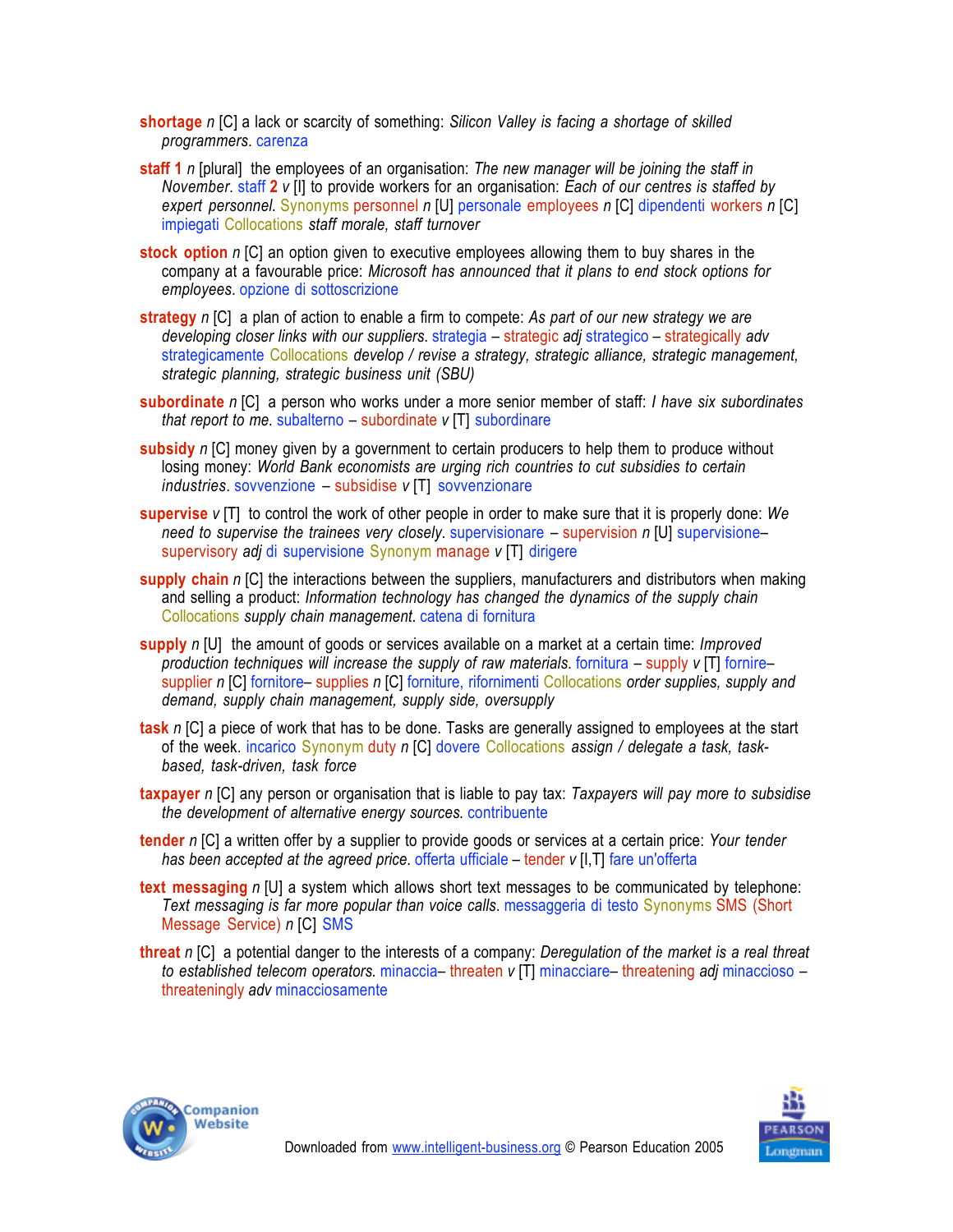**shortage** *n* [C] a lack or scarcity of something: *Silicon Valley is facing a shortage of skilled programmers*. carenza

- **staff 1** *n* [plural] the employees of an organisation: *The new manager will be joining the staff in November.* staff **2** *v* [I] to provide workers for an organisation: *Each of our centres is staffed by expert personnel.* Synonyms personnel *n* [U] personale employees *n* [C] dipendenti workers *n* [C] impiegati Collocations *staff morale, staff turnover*
- **stock option** *n* [C] an option given to executive employees allowing them to buy shares in the company at a favourable price: *Microsoft has announced that it plans to end stock options for employees*. opzione di sottoscrizione
- **strategy** *n* [C] a plan of action to enable a firm to compete: *As part of our new strategy we are developing closer links with our suppliers*. strategia – strategic *adj* strategico – strategically *adv* strategicamente Collocations *develop / revise a strategy, strategic alliance, strategic management, strategic planning, strategic business unit (SBU)*
- **subordinate** *n* [C] a person who works under a more senior member of staff: *I have six subordinates that report to me.* subalterno – subordinate *v* [T] subordinare
- **subsidy** *n* [C] money given by a government to certain producers to help them to produce without losing money: *World Bank economists are urging rich countries to cut subsidies to certain industries*. sovvenzione – subsidise *v* [T] sovvenzionare
- **supervise** *v* [T] to control the work of other people in order to make sure that it is properly done: *We need to supervise the trainees very closely.* supervisionare – supervision *n* [U] supervisione– supervisory *adj* di supervisione Synonym manage *v* [T] dirigere
- **supply chain** *n* [C] the interactions between the suppliers, manufacturers and distributors when making and selling a product: *Information technology has changed the dynamics of the supply chain* Collocations *supply chain management*. catena di fornitura
- **supply** *n* [U] the amount of goods or services available on a market at a certain time: *Improved production techniques will increase the supply of raw materials*. fornitura – supply *v* [T] fornire– supplier *n* [C] fornitore– supplies *n* [C] forniture, rifornimenti Collocations *order supplies, supply and demand, supply chain management, supply side, oversupply*
- **task** *n* [C] a piece of work that has to be done. Tasks are generally assigned to employees at the start of the week. incarico Synonym duty *n* [C] dovere Collocations *assign / delegate a task, taskbased, task-driven, task force*
- **taxpayer** *n* [C] any person or organisation that is liable to pay tax: *Taxpayers will pay more to subsidise the development of alternative energy sources.* contribuente
- **tender** *n* [C] a written offer by a supplier to provide goods or services at a certain price: *Your tender has been accepted at the agreed price*. offerta ufficiale – tender *v* [I,T] fare un'offerta
- **text messaging** *n* [U] a system which allows short text messages to be communicated by telephone: *Text messaging is far more popular than voice calls*. messaggeria di testo Synonyms SMS (Short Message Service) *n* [C] SMS
- **threat** *n* [C] a potential danger to the interests of a company: *Deregulation of the market is a real threat to established telecom operators.* minaccia– threaten *v* [T] minacciare– threatening *adj* minaccioso – threateningly *adv* minacciosamente